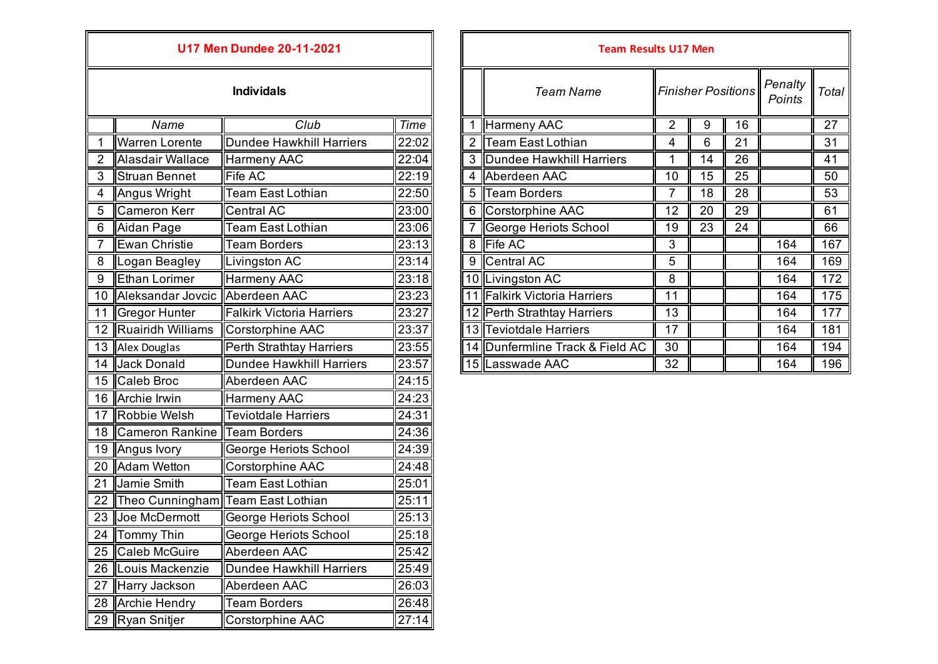|                   | U17 Men Dundee 20-11-2021 |                                  |       |  |  |  |  |
|-------------------|---------------------------|----------------------------------|-------|--|--|--|--|
| <b>Individals</b> |                           |                                  |       |  |  |  |  |
|                   | Name                      | Club                             | Time  |  |  |  |  |
| $\mathbf{1}$      | <b>Warren Lorente</b>     | <b>Dundee Hawkhill Harriers</b>  | 22:02 |  |  |  |  |
| $\overline{2}$    | Alasdair Wallace          | <b>Harmeny AAC</b>               | 22:04 |  |  |  |  |
| $\overline{3}$    | <b>Struan Bennet</b>      | <b>Fife AC</b>                   | 22:19 |  |  |  |  |
| 4                 | Angus Wright              | Team East Lothian                | 22:50 |  |  |  |  |
| 5                 | <b>Cameron Kerr</b>       | <b>Central AC</b>                | 23:00 |  |  |  |  |
| 6                 | Aidan Page                | <b>Team East Lothian</b>         | 23:06 |  |  |  |  |
| 7                 | <b>Ewan Christie</b>      | <b>Team Borders</b>              | 23:13 |  |  |  |  |
| 8                 | Logan Beagley             | Livingston AC                    | 23:14 |  |  |  |  |
| 9                 | <b>Ethan Lorimer</b>      | <b>Harmeny AAC</b>               | 23:18 |  |  |  |  |
| 10                | Aleksandar Jovcic         | Aberdeen AAC                     | 23:23 |  |  |  |  |
| 11                | <b>Gregor Hunter</b>      | <b>Falkirk Victoria Harriers</b> | 23:27 |  |  |  |  |
| 12                | <b>Ruairidh Williams</b>  | Corstorphine AAC                 | 23:37 |  |  |  |  |
| 13                | Alex Douglas              | <b>Perth Strathtay Harriers</b>  | 23:55 |  |  |  |  |
| 14                | Jack Donald               | <b>Dundee Hawkhill Harriers</b>  | 23:57 |  |  |  |  |
| 15                | Caleb Broc                | Aberdeen AAC                     | 24:15 |  |  |  |  |
| 16                | Archie Irwin              | Harmeny AAC                      | 24:23 |  |  |  |  |
| 17                | Robbie Welsh              | <b>Teviotdale Harriers</b>       | 24:31 |  |  |  |  |
| 18                | <b>Cameron Rankine</b>    | <b>Team Borders</b>              | 24:36 |  |  |  |  |
| 19                | Angus Ivory               | George Heriots School            | 24:39 |  |  |  |  |
| 20                | <b>Adam Wetton</b>        | Corstorphine AAC                 | 24:48 |  |  |  |  |
| 21                | Jamie Smith               | <b>Team East Lothian</b>         | 25:01 |  |  |  |  |
| 22                | Theo Cunningham           | <b>Team East Lothian</b>         | 25:11 |  |  |  |  |
| 23                | Joe McDermott             | George Heriots School            | 25:13 |  |  |  |  |
| $\overline{24}$   | <b>Tommy Thin</b>         | George Heriots School            | 25:18 |  |  |  |  |
| 25                | <b>Caleb McGuire</b>      | Aberdeen AAC                     | 25:42 |  |  |  |  |
| 26                | Louis Mackenzie           | <b>Dundee Hawkhill Harriers</b>  | 25:49 |  |  |  |  |
| $\overline{27}$   | Harry Jackson             | Aberdeen AAC                     | 26:03 |  |  |  |  |
| 28                | <b>Archie Hendry</b>      | <b>Team Borders</b>              | 26:48 |  |  |  |  |
| $\overline{29}$   | Ryan Snitjer              | Corstorphine AAC                 | 27:14 |  |  |  |  |

| <b>U17 Men Dundee 20-11-2021</b> |                       |                           |       | <b>Team Results U17 Men</b> |                                 |    |                           |    |                   |       |
|----------------------------------|-----------------------|---------------------------|-------|-----------------------------|---------------------------------|----|---------------------------|----|-------------------|-------|
|                                  |                       | <b>Individals</b>         |       |                             | <b>Team Name</b>                |    | <b>Finisher Positions</b> |    | Penalty<br>Points | Total |
|                                  | Name                  | Club                      | Time  |                             | Harmeny AAC                     | 2  | 9                         | 16 |                   | 27    |
|                                  | <b>Warren Lorente</b> | Dundee Hawkhill Harriers  | 22:02 |                             | Team East Lothian               | 4  | 6                         | 21 |                   | 31    |
|                                  | Alasdair Wallace      | Harmeny AAC               | 22:04 |                             | 3 Dundee Hawkhill Harriers      |    | 14                        | 26 |                   | 41    |
| 3                                | Struan Bennet         | <b>Fife AC</b>            | 22:19 |                             | 4 Aberdeen AAC                  | 10 | 15                        | 25 |                   | 50    |
|                                  | Angus Wright          | <b>Team East Lothian</b>  | 22:50 | 5                           | <b>Team Borders</b>             | 7  | 18                        | 28 |                   | 53    |
| $\overline{5}$                   | Cameron Kerr          | Central AC                | 23:00 |                             | 6 Corstorphine AAC              | 12 | 20                        | 29 |                   | 61    |
| 6                                | Aidan Page            | <b>Team East Lothian</b>  | 23:06 |                             | George Heriots School           | 19 | 23                        | 24 |                   | 66    |
|                                  | Ewan Christie         | <b>Team Borders</b>       | 23:13 |                             | 8 Fife AC                       | 3  |                           |    | 164               | 167   |
| $\,8\,$                          | Logan Beagley         | Livingston AC             | 23:14 | 9                           | Central AC                      | 5  |                           |    | 164               | 169   |
| 9                                | <b>Ethan Lorimer</b>  | Harmeny AAC               | 23:18 |                             | 10 Livingston AC                | 8  |                           |    | 164               | 172   |
|                                  | 10 Aleksandar Jovcic  | Aberdeen AAC              | 23:23 |                             | 11 Falkirk Victoria Harriers    | 11 |                           |    | 164               | 175   |
|                                  | 11 Gregor Hunter      | Falkirk Victoria Harriers | 23:27 |                             | 12 Perth Strathtay Harriers     | 13 |                           |    | 164               | 177   |
|                                  | 12 Ruairidh Williams  | Corstorphine AAC          | 23:37 |                             | 13 Teviotdale Harriers          | 17 |                           |    | 164               | 181   |
|                                  | 13 Alex Douglas       | Perth Strathtay Harriers  | 23:55 |                             | 14 Dunfermline Track & Field AC | 30 |                           |    | 164               | 194   |
|                                  | 14 Jack Donald        | Dundee Hawkhill Harriers  | 23:57 |                             | 15 Lasswade AAC                 | 32 |                           |    | 164               | 196   |